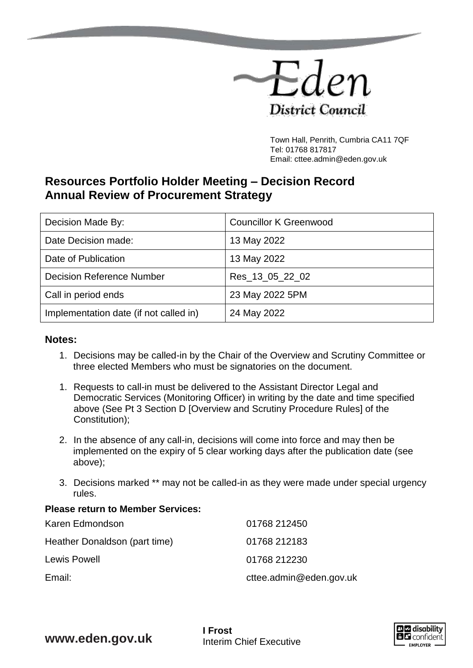

Town Hall, Penrith, Cumbria CA11 7QF Tel: 01768 817817 Email: cttee.admin@eden.gov.uk

## **Resources Portfolio Holder Meeting – Decision Record Annual Review of Procurement Strategy**

| Decision Made By:                      | <b>Councillor K Greenwood</b> |
|----------------------------------------|-------------------------------|
| Date Decision made:                    | 13 May 2022                   |
| Date of Publication                    | 13 May 2022                   |
| <b>Decision Reference Number</b>       | Res_13_05_22_02               |
| Call in period ends                    | 23 May 2022 5PM               |
| Implementation date (if not called in) | 24 May 2022                   |

## **Notes:**

- 1. Decisions may be called-in by the Chair of the Overview and Scrutiny Committee or three elected Members who must be signatories on the document.
- 1. Requests to call-in must be delivered to the Assistant Director Legal and Democratic Services (Monitoring Officer) in writing by the date and time specified above (See Pt 3 Section D [Overview and Scrutiny Procedure Rules] of the Constitution);
- 2. In the absence of any call-in, decisions will come into force and may then be implemented on the expiry of 5 clear working days after the publication date (see above);
- 3. Decisions marked \*\* may not be called-in as they were made under special urgency rules.

## **Please return to Member Services:**

| Karen Edmondson               | 01768 212450            |
|-------------------------------|-------------------------|
| Heather Donaldson (part time) | 01768 212183            |
| Lewis Powell                  | 01768 212230            |
| Email:                        | cttee.admin@eden.gov.uk |